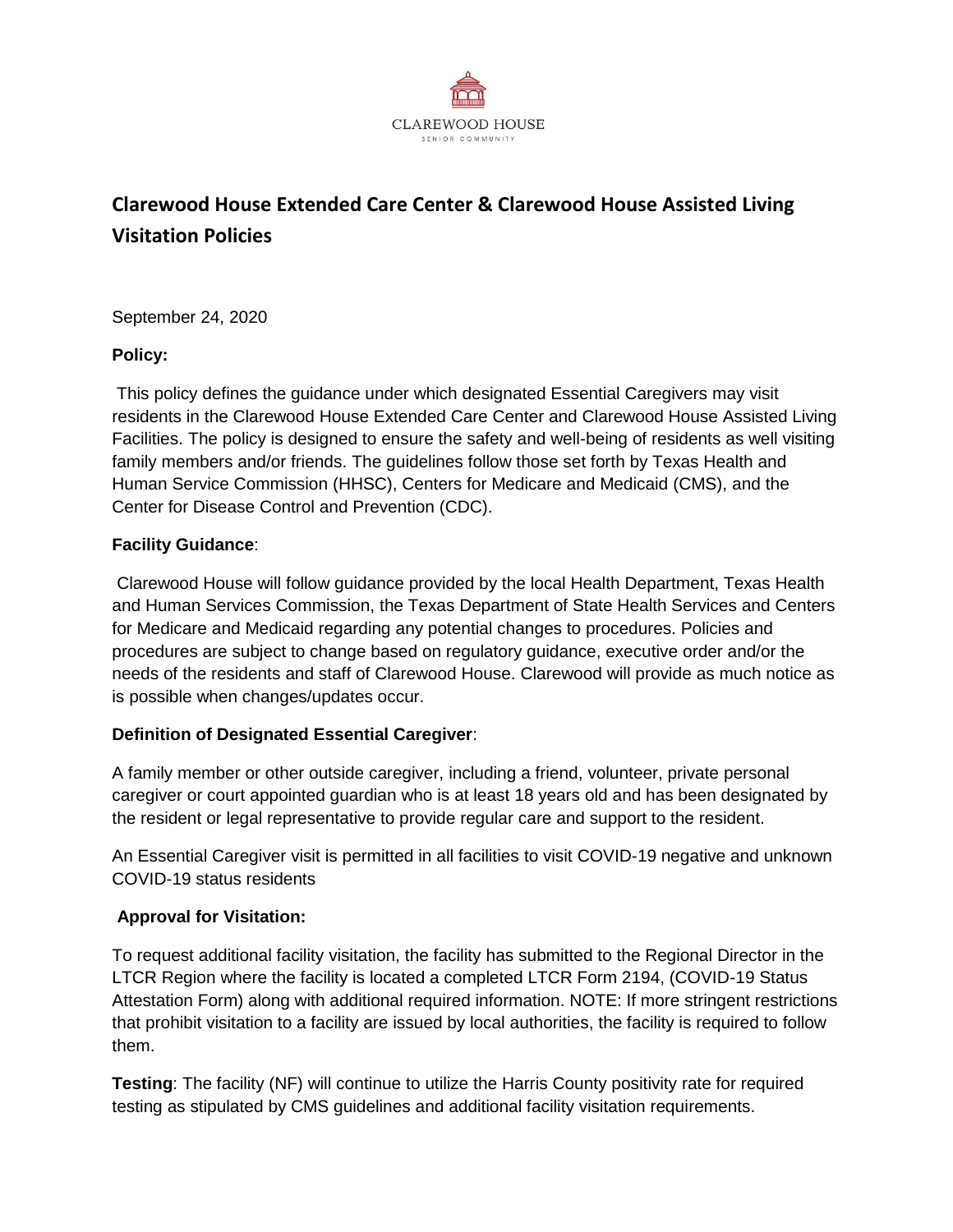

# **Clarewood House Extended Care Center & Clarewood House Assisted Living Visitation Policies**

September 24, 2020

# **Policy:**

This policy defines the guidance under which designated Essential Caregivers may visit residents in the Clarewood House Extended Care Center and Clarewood House Assisted Living Facilities. The policy is designed to ensure the safety and well-being of residents as well visiting family members and/or friends. The guidelines follow those set forth by Texas Health and Human Service Commission (HHSC), Centers for Medicare and Medicaid (CMS), and the Center for Disease Control and Prevention (CDC).

#### **Facility Guidance**:

Clarewood House will follow guidance provided by the local Health Department, Texas Health and Human Services Commission, the Texas Department of State Health Services and Centers for Medicare and Medicaid regarding any potential changes to procedures. Policies and procedures are subject to change based on regulatory guidance, executive order and/or the needs of the residents and staff of Clarewood House. Clarewood will provide as much notice as is possible when changes/updates occur.

# **Definition of Designated Essential Caregiver**:

A family member or other outside caregiver, including a friend, volunteer, private personal caregiver or court appointed guardian who is at least 18 years old and has been designated by the resident or legal representative to provide regular care and support to the resident.

An Essential Caregiver visit is permitted in all facilities to visit COVID-19 negative and unknown COVID-19 status residents

# **Approval for Visitation:**

To request additional facility visitation, the facility has submitted to the Regional Director in the LTCR Region where the facility is located a completed LTCR Form 2194, (COVID-19 Status Attestation Form) along with additional required information. NOTE: If more stringent restrictions that prohibit visitation to a facility are issued by local authorities, the facility is required to follow them.

**Testing**: The facility (NF) will continue to utilize the Harris County positivity rate for required testing as stipulated by CMS guidelines and additional facility visitation requirements.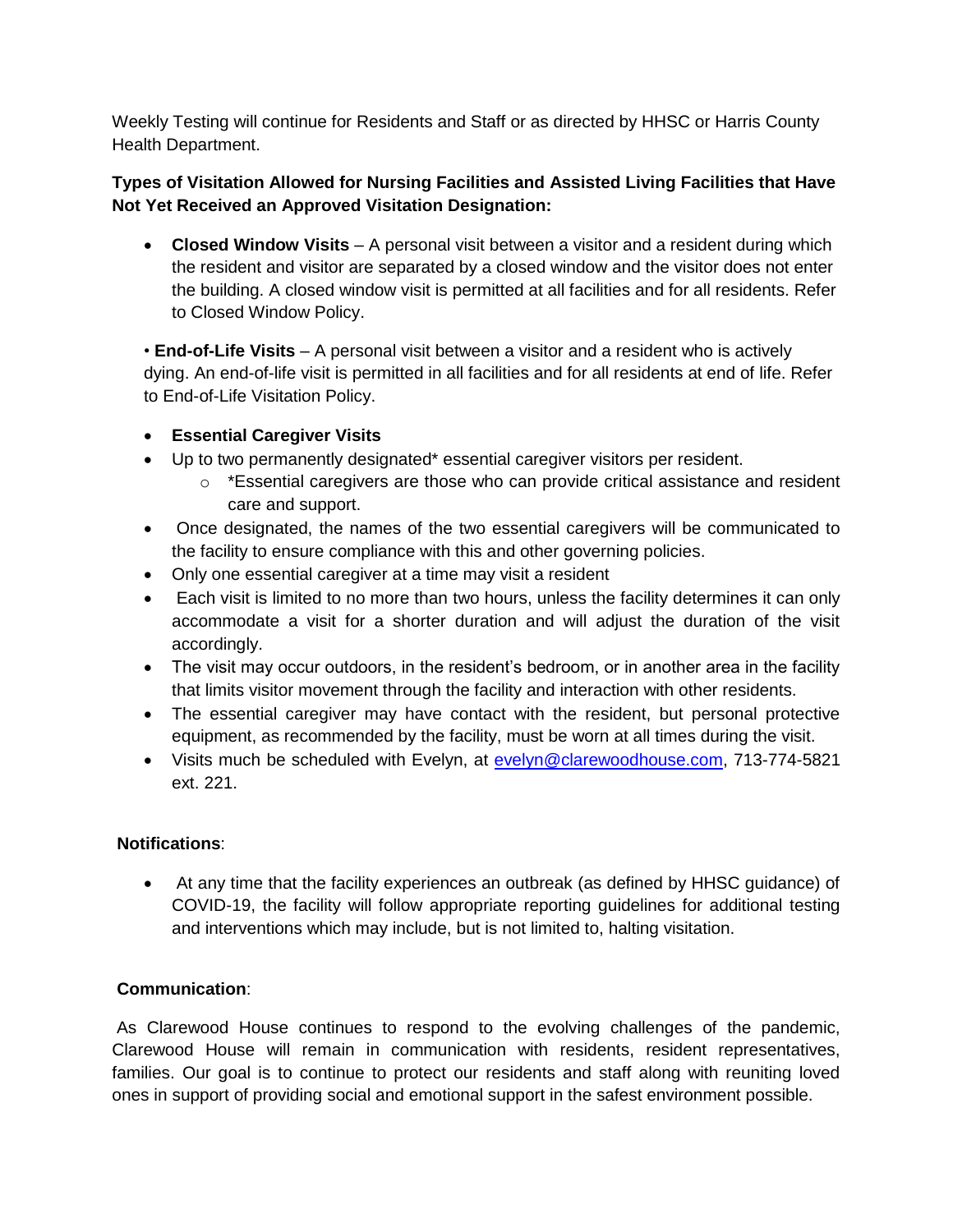Weekly Testing will continue for Residents and Staff or as directed by HHSC or Harris County Health Department.

# **Types of Visitation Allowed for Nursing Facilities and Assisted Living Facilities that Have Not Yet Received an Approved Visitation Designation:**

 **Closed Window Visits** – A personal visit between a visitor and a resident during which the resident and visitor are separated by a closed window and the visitor does not enter the building. A closed window visit is permitted at all facilities and for all residents. Refer to Closed Window Policy.

• **End-of-Life Visits** – A personal visit between a visitor and a resident who is actively dying. An end-of-life visit is permitted in all facilities and for all residents at end of life. Refer to End-of-Life Visitation Policy.

# **Essential Caregiver Visits**

- Up to two permanently designated\* essential caregiver visitors per resident.
	- $\circ$  \*Essential caregivers are those who can provide critical assistance and resident care and support.
- Once designated, the names of the two essential caregivers will be communicated to the facility to ensure compliance with this and other governing policies.
- Only one essential caregiver at a time may visit a resident
- Each visit is limited to no more than two hours, unless the facility determines it can only accommodate a visit for a shorter duration and will adjust the duration of the visit accordingly.
- The visit may occur outdoors, in the resident's bedroom, or in another area in the facility that limits visitor movement through the facility and interaction with other residents.
- The essential caregiver may have contact with the resident, but personal protective equipment, as recommended by the facility, must be worn at all times during the visit.
- Visits much be scheduled with Evelyn, at [evelyn@clarewoodhouse.com,](mailto:evelyn@clarewoodhouse.com) 713-774-5821 ext. 221.

# **Notifications**:

 At any time that the facility experiences an outbreak (as defined by HHSC guidance) of COVID-19, the facility will follow appropriate reporting guidelines for additional testing and interventions which may include, but is not limited to, halting visitation.

# **Communication**:

As Clarewood House continues to respond to the evolving challenges of the pandemic, Clarewood House will remain in communication with residents, resident representatives, families. Our goal is to continue to protect our residents and staff along with reuniting loved ones in support of providing social and emotional support in the safest environment possible.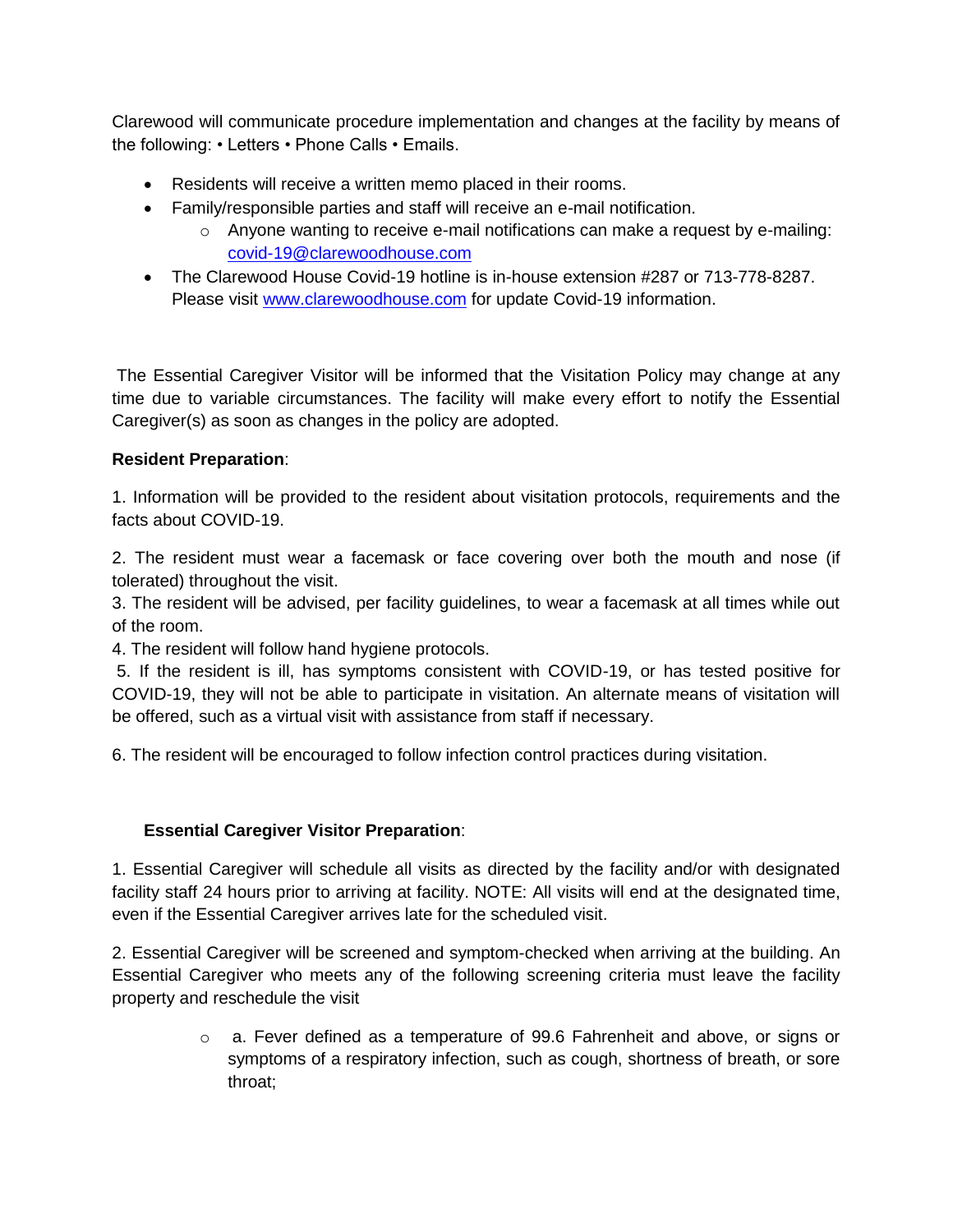Clarewood will communicate procedure implementation and changes at the facility by means of the following: • Letters • Phone Calls • Emails.

- Residents will receive a written memo placed in their rooms.
- Family/responsible parties and staff will receive an e-mail notification.
	- $\circ$  Anyone wanting to receive e-mail notifications can make a request by e-mailing: [covid-19@clarewoodhouse.com](mailto:covid-19@clarewoodhouse.com)
- The Clarewood House Covid-19 hotline is in-house extension #287 or 713-778-8287. Please visit [www.clarewoodhouse.com](http://www.clarewoodhouse.com/) for update Covid-19 information.

The Essential Caregiver Visitor will be informed that the Visitation Policy may change at any time due to variable circumstances. The facility will make every effort to notify the Essential Caregiver(s) as soon as changes in the policy are adopted.

# **Resident Preparation**:

1. Information will be provided to the resident about visitation protocols, requirements and the facts about COVID-19.

2. The resident must wear a facemask or face covering over both the mouth and nose (if tolerated) throughout the visit.

3. The resident will be advised, per facility guidelines, to wear a facemask at all times while out of the room.

4. The resident will follow hand hygiene protocols.

5. If the resident is ill, has symptoms consistent with COVID-19, or has tested positive for COVID-19, they will not be able to participate in visitation. An alternate means of visitation will be offered, such as a virtual visit with assistance from staff if necessary.

6. The resident will be encouraged to follow infection control practices during visitation.

# **Essential Caregiver Visitor Preparation**:

1. Essential Caregiver will schedule all visits as directed by the facility and/or with designated facility staff 24 hours prior to arriving at facility. NOTE: All visits will end at the designated time, even if the Essential Caregiver arrives late for the scheduled visit.

2. Essential Caregiver will be screened and symptom-checked when arriving at the building. An Essential Caregiver who meets any of the following screening criteria must leave the facility property and reschedule the visit

> o a. Fever defined as a temperature of 99.6 Fahrenheit and above, or signs or symptoms of a respiratory infection, such as cough, shortness of breath, or sore throat;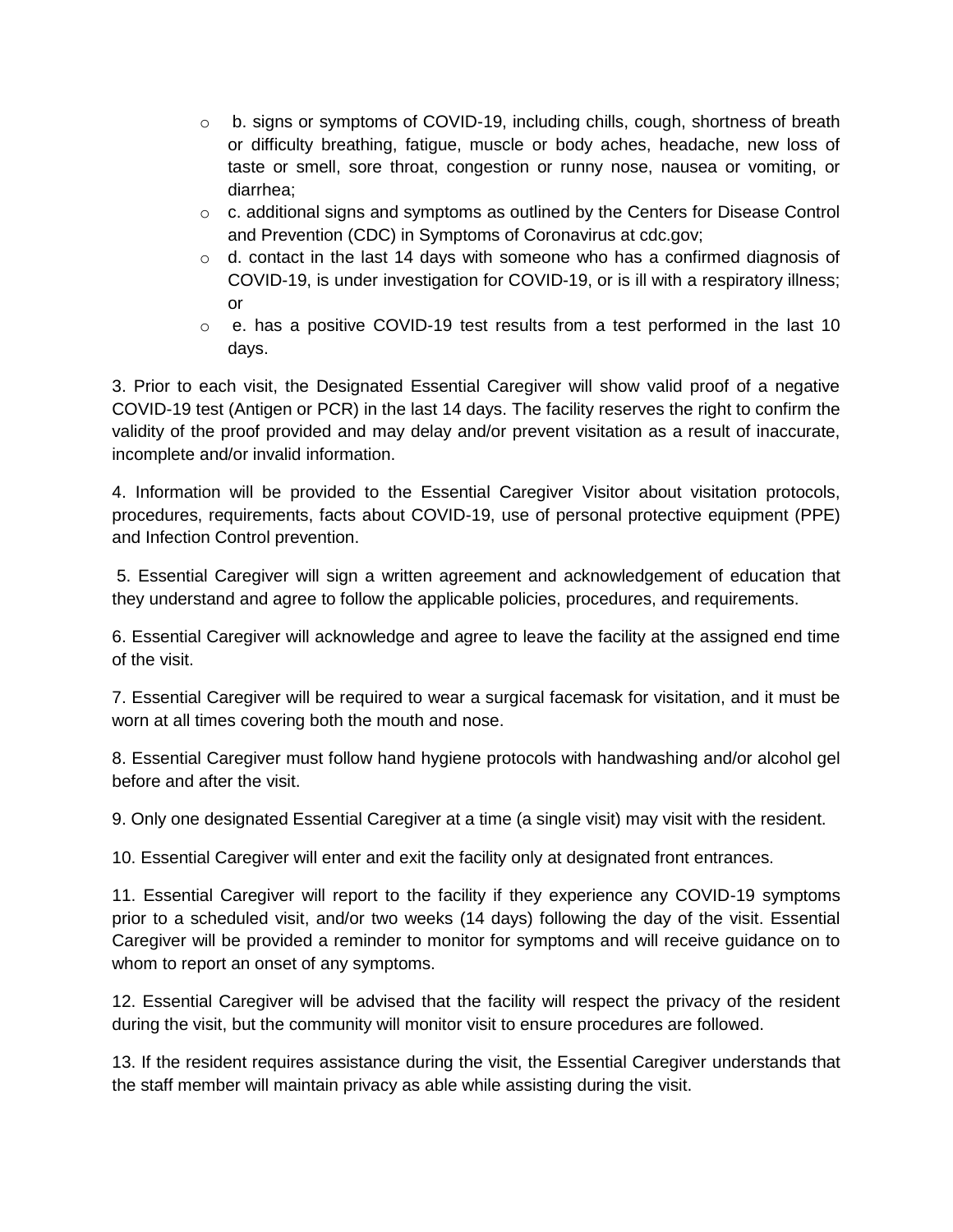- $\circ$  b. signs or symptoms of COVID-19, including chills, cough, shortness of breath or difficulty breathing, fatigue, muscle or body aches, headache, new loss of taste or smell, sore throat, congestion or runny nose, nausea or vomiting, or diarrhea;
- $\circ$  c. additional signs and symptoms as outlined by the Centers for Disease Control and Prevention (CDC) in Symptoms of Coronavirus at cdc.gov;
- $\circ$  d. contact in the last 14 days with someone who has a confirmed diagnosis of COVID-19, is under investigation for COVID-19, or is ill with a respiratory illness; or
- o e. has a positive COVID-19 test results from a test performed in the last 10 days.

3. Prior to each visit, the Designated Essential Caregiver will show valid proof of a negative COVID-19 test (Antigen or PCR) in the last 14 days. The facility reserves the right to confirm the validity of the proof provided and may delay and/or prevent visitation as a result of inaccurate, incomplete and/or invalid information.

4. Information will be provided to the Essential Caregiver Visitor about visitation protocols, procedures, requirements, facts about COVID-19, use of personal protective equipment (PPE) and Infection Control prevention.

5. Essential Caregiver will sign a written agreement and acknowledgement of education that they understand and agree to follow the applicable policies, procedures, and requirements.

6. Essential Caregiver will acknowledge and agree to leave the facility at the assigned end time of the visit.

7. Essential Caregiver will be required to wear a surgical facemask for visitation, and it must be worn at all times covering both the mouth and nose.

8. Essential Caregiver must follow hand hygiene protocols with handwashing and/or alcohol gel before and after the visit.

9. Only one designated Essential Caregiver at a time (a single visit) may visit with the resident.

10. Essential Caregiver will enter and exit the facility only at designated front entrances.

11. Essential Caregiver will report to the facility if they experience any COVID-19 symptoms prior to a scheduled visit, and/or two weeks (14 days) following the day of the visit. Essential Caregiver will be provided a reminder to monitor for symptoms and will receive guidance on to whom to report an onset of any symptoms.

12. Essential Caregiver will be advised that the facility will respect the privacy of the resident during the visit, but the community will monitor visit to ensure procedures are followed.

13. If the resident requires assistance during the visit, the Essential Caregiver understands that the staff member will maintain privacy as able while assisting during the visit.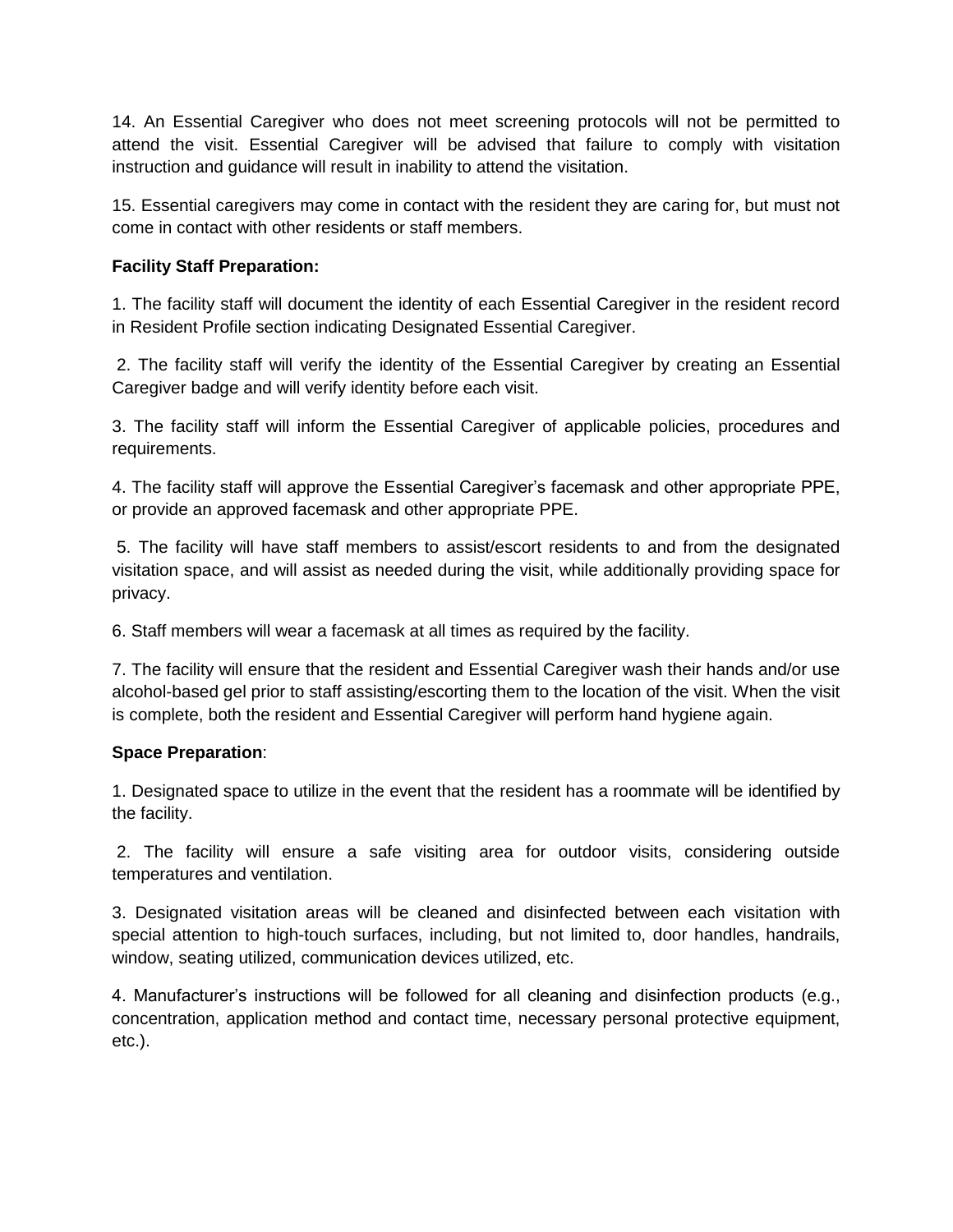14. An Essential Caregiver who does not meet screening protocols will not be permitted to attend the visit. Essential Caregiver will be advised that failure to comply with visitation instruction and guidance will result in inability to attend the visitation.

15. Essential caregivers may come in contact with the resident they are caring for, but must not come in contact with other residents or staff members.

#### **Facility Staff Preparation:**

1. The facility staff will document the identity of each Essential Caregiver in the resident record in Resident Profile section indicating Designated Essential Caregiver.

2. The facility staff will verify the identity of the Essential Caregiver by creating an Essential Caregiver badge and will verify identity before each visit.

3. The facility staff will inform the Essential Caregiver of applicable policies, procedures and requirements.

4. The facility staff will approve the Essential Caregiver's facemask and other appropriate PPE, or provide an approved facemask and other appropriate PPE.

5. The facility will have staff members to assist/escort residents to and from the designated visitation space, and will assist as needed during the visit, while additionally providing space for privacy.

6. Staff members will wear a facemask at all times as required by the facility.

7. The facility will ensure that the resident and Essential Caregiver wash their hands and/or use alcohol-based gel prior to staff assisting/escorting them to the location of the visit. When the visit is complete, both the resident and Essential Caregiver will perform hand hygiene again.

#### **Space Preparation**:

1. Designated space to utilize in the event that the resident has a roommate will be identified by the facility.

2. The facility will ensure a safe visiting area for outdoor visits, considering outside temperatures and ventilation.

3. Designated visitation areas will be cleaned and disinfected between each visitation with special attention to high-touch surfaces, including, but not limited to, door handles, handrails, window, seating utilized, communication devices utilized, etc.

4. Manufacturer's instructions will be followed for all cleaning and disinfection products (e.g., concentration, application method and contact time, necessary personal protective equipment, etc.).